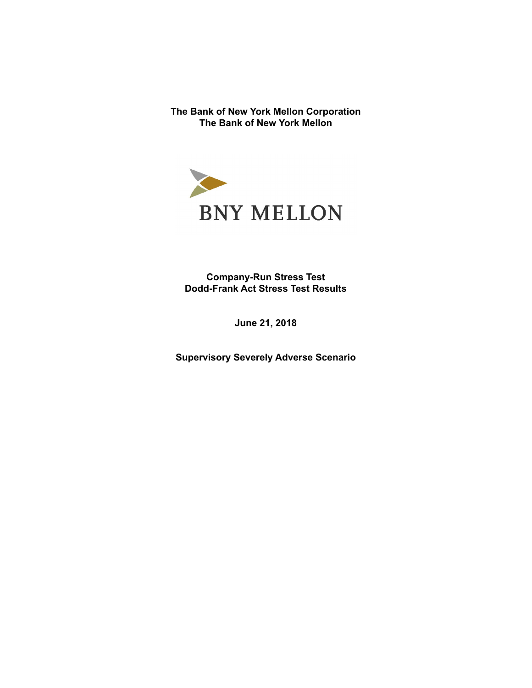**The Bank of New York Mellon Corporation The Bank of New York Mellon** 



**Company-Run Stress Test Dodd-Frank Act Stress Test Results** 

**June 21, 2018** 

**Supervisory Severely Adverse Scenario**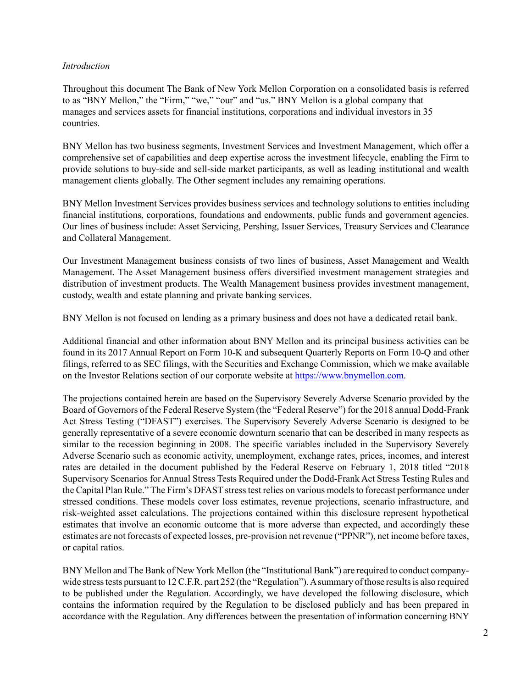### *Introduction*

Throughout this document The Bank of New York Mellon Corporation on a consolidated basis is referred to as "BNY Mellon," the "Firm," "we," "our" and "us." BNY Mellon is a global company that manages and services assets for financial institutions, corporations and individual investors in 35 countries.

BNY Mellon has two business segments, Investment Services and Investment Management, which offer a comprehensive set of capabilities and deep expertise across the investment lifecycle, enabling the Firm to provide solutions to buy-side and sell-side market participants, as well as leading institutional and wealth management clients globally. The Other segment includes any remaining operations.

BNY Mellon Investment Services provides business services and technology solutions to entities including financial institutions, corporations, foundations and endowments, public funds and government agencies. Our lines of business include: Asset Servicing, Pershing, Issuer Services, Treasury Services and Clearance and Collateral Management.

Our Investment Management business consists of two lines of business, Asset Management and Wealth Management. The Asset Management business offers diversified investment management strategies and distribution of investment products. The Wealth Management business provides investment management, custody, wealth and estate planning and private banking services.

BNY Mellon is not focused on lending as a primary business and does not have a dedicated retail bank.

Additional financial and other information about BNY Mellon and its principal business activities can be found in its 2017 Annual Report on Form 10-K and subsequent Quarterly Reports on Form 10-Q and other filings, referred to as SEC filings, with the Securities and Exchange Commission, which we make available on the Investor Relations section of our corporate website at [https://www.bnymellon.com.](https://www.bnymellon.com)

The projections contained herein are based on the Supervisory Severely Adverse Scenario provided by the Board of Governors of the Federal Reserve System (the "Federal Reserve") for the 2018 annual Dodd-Frank Act Stress Testing ("DFAST") exercises. The Supervisory Severely Adverse Scenario is designed to be generally representative of a severe economic downturn scenario that can be described in many respects as similar to the recession beginning in 2008. The specific variables included in the Supervisory Severely Adverse Scenario such as economic activity, unemployment, exchange rates, prices, incomes, and interest rates are detailed in the document published by the Federal Reserve on February 1, 2018 titled "2018 Supervisory Scenarios for Annual Stress Tests Required under the Dodd-Frank Act Stress Testing Rules and the Capital Plan Rule." The Firm's DFAST stress test relies on various models to forecast performance under stressed conditions. These models cover loss estimates, revenue projections, scenario infrastructure, and risk-weighted asset calculations. The projections contained within this disclosure represent hypothetical estimates that involve an economic outcome that is more adverse than expected, and accordingly these estimates are not forecasts of expected losses, pre-provision net revenue ("PPNR"), net income before taxes, or capital ratios.

BNY Mellon and The Bank of New York Mellon (the "Institutional Bank") are required to conduct companywide stress tests pursuant to 12 C.F.R. part 252 (the "Regulation"). A summary of those results is also required to be published under the Regulation. Accordingly, we have developed the following disclosure, which contains the information required by the Regulation to be disclosed publicly and has been prepared in accordance with the Regulation. Any differences between the presentation of information concerning BNY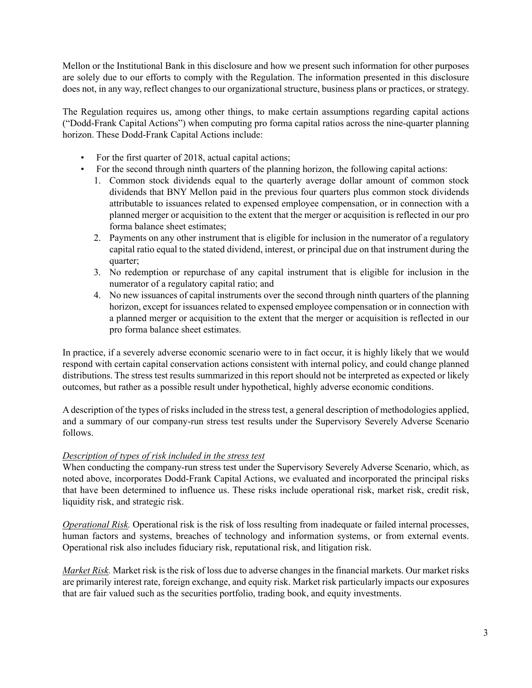Mellon or the Institutional Bank in this disclosure and how we present such information for other purposes are solely due to our efforts to comply with the Regulation. The information presented in this disclosure does not, in any way, reflect changes to our organizational structure, business plans or practices, or strategy.

The Regulation requires us, among other things, to make certain assumptions regarding capital actions ("Dodd-Frank Capital Actions") when computing pro forma capital ratios across the nine-quarter planning horizon. These Dodd-Frank Capital Actions include:

- For the first quarter of 2018, actual capital actions;
- For the second through ninth quarters of the planning horizon, the following capital actions:
	- 1. Common stock dividends equal to the quarterly average dollar amount of common stock dividends that BNY Mellon paid in the previous four quarters plus common stock dividends attributable to issuances related to expensed employee compensation, or in connection with a planned merger or acquisition to the extent that the merger or acquisition is reflected in our pro forma balance sheet estimates;
	- 2. Payments on any other instrument that is eligible for inclusion in the numerator of a regulatory capital ratio equal to the stated dividend, interest, or principal due on that instrument during the quarter;
	- 3. No redemption or repurchase of any capital instrument that is eligible for inclusion in the numerator of a regulatory capital ratio; and
	- 4. No new issuances of capital instruments over the second through ninth quarters of the planning horizon, except for issuances related to expensed employee compensation or in connection with a planned merger or acquisition to the extent that the merger or acquisition is reflected in our pro forma balance sheet estimates.

In practice, if a severely adverse economic scenario were to in fact occur, it is highly likely that we would respond with certain capital conservation actions consistent with internal policy, and could change planned distributions. The stress test results summarized in this report should not be interpreted as expected or likely outcomes, but rather as a possible result under hypothetical, highly adverse economic conditions.

A description of the types of risks included in the stress test, a general description of methodologies applied, and a summary of our company-run stress test results under the Supervisory Severely Adverse Scenario follows.

### *Description of types of risk included in the stress test*

When conducting the company-run stress test under the Supervisory Severely Adverse Scenario, which, as noted above, incorporates Dodd-Frank Capital Actions, we evaluated and incorporated the principal risks that have been determined to influence us. These risks include operational risk, market risk, credit risk, liquidity risk, and strategic risk.

*Operational Risk.* Operational risk is the risk of loss resulting from inadequate or failed internal processes, human factors and systems, breaches of technology and information systems, or from external events. Operational risk also includes fiduciary risk, reputational risk, and litigation risk.

*Market Risk.* Market risk is the risk of loss due to adverse changes in the financial markets. Our market risks are primarily interest rate, foreign exchange, and equity risk. Market risk particularly impacts our exposures that are fair valued such as the securities portfolio, trading book, and equity investments.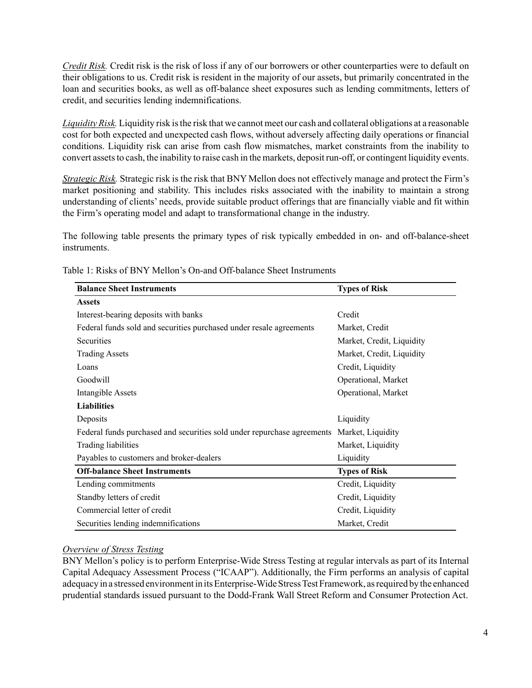*Credit Risk.* Credit risk is the risk of loss if any of our borrowers or other counterparties were to default on their obligations to us. Credit risk is resident in the majority of our assets, but primarily concentrated in the loan and securities books, as well as off-balance sheet exposures such as lending commitments, letters of credit, and securities lending indemnifications.

*Liquidity Risk.* Liquidity risk is the risk that we cannot meet our cash and collateral obligations at a reasonable cost for both expected and unexpected cash flows, without adversely affecting daily operations or financial conditions. Liquidity risk can arise from cash flow mismatches, market constraints from the inability to convert assets to cash, the inability to raise cash in the markets, deposit run-off, or contingent liquidity events.

*Strategic Risk.* Strategic risk is the risk that BNY Mellon does not effectively manage and protect the Firm's market positioning and stability. This includes risks associated with the inability to maintain a strong understanding of clients' needs, provide suitable product offerings that are financially viable and fit within the Firm's operating model and adapt to transformational change in the industry.

The following table presents the primary types of risk typically embedded in on- and off-balance-sheet instruments.

| <b>Balance Sheet Instruments</b>                                                          | <b>Types of Risk</b>      |
|-------------------------------------------------------------------------------------------|---------------------------|
| <b>Assets</b>                                                                             |                           |
| Interest-bearing deposits with banks                                                      | Credit                    |
| Federal funds sold and securities purchased under resale agreements                       | Market, Credit            |
| Securities                                                                                | Market, Credit, Liquidity |
| <b>Trading Assets</b>                                                                     | Market, Credit, Liquidity |
| Loans                                                                                     | Credit, Liquidity         |
| Goodwill                                                                                  | Operational, Market       |
| Intangible Assets                                                                         | Operational, Market       |
| <b>Liabilities</b>                                                                        |                           |
| Deposits                                                                                  | Liquidity                 |
| Federal funds purchased and securities sold under repurchase agreements Market, Liquidity |                           |
| Trading liabilities                                                                       | Market, Liquidity         |
| Payables to customers and broker-dealers                                                  | Liquidity                 |
| <b>Off-balance Sheet Instruments</b>                                                      | <b>Types of Risk</b>      |
| Lending commitments                                                                       | Credit, Liquidity         |
| Standby letters of credit                                                                 | Credit, Liquidity         |
| Commercial letter of credit                                                               | Credit, Liquidity         |
| Securities lending indemnifications                                                       | Market, Credit            |

Table 1: Risks of BNY Mellon's On-and Off-balance Sheet Instruments

### *Overview of Stress Testing*

BNY Mellon's policy is to perform Enterprise-Wide Stress Testing at regular intervals as part of its Internal Capital Adequacy Assessment Process ("ICAAP"). Additionally, the Firm performs an analysis of capital adequacy in a stressed environment in its Enterprise-Wide Stress Test Framework, as required by the enhanced prudential standards issued pursuant to the Dodd-Frank Wall Street Reform and Consumer Protection Act.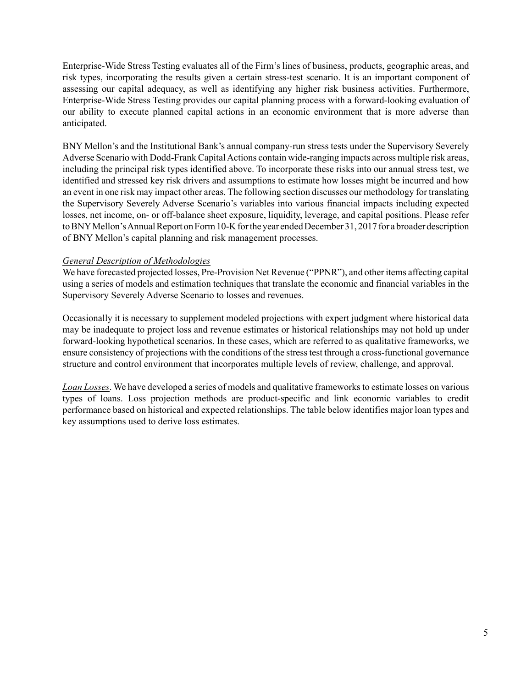Enterprise-Wide Stress Testing evaluates all of the Firm's lines of business, products, geographic areas, and risk types, incorporating the results given a certain stress-test scenario. It is an important component of assessing our capital adequacy, as well as identifying any higher risk business activities. Furthermore, Enterprise-Wide Stress Testing provides our capital planning process with a forward-looking evaluation of our ability to execute planned capital actions in an economic environment that is more adverse than anticipated.

BNY Mellon's and the Institutional Bank's annual company-run stress tests under the Supervisory Severely Adverse Scenario with Dodd-Frank Capital Actions contain wide-ranging impacts across multiple risk areas, including the principal risk types identified above. To incorporate these risks into our annual stress test, we identified and stressed key risk drivers and assumptions to estimate how losses might be incurred and how an event in one risk may impact other areas. The following section discusses our methodology for translating the Supervisory Severely Adverse Scenario's variables into various financial impacts including expected losses, net income, on- or off-balance sheet exposure, liquidity, leverage, and capital positions. Please refer to BNYMellon's Annual Report on Form 10-K for the year ended December 31, 2017 for a broader description of BNY Mellon's capital planning and risk management processes.

## *General Description of Methodologies*

We have forecasted projected losses, Pre-Provision Net Revenue ("PPNR"), and other items affecting capital using a series of models and estimation techniques that tran slate the economic and financial variables in the Supervisory Severely Adverse Scenario to losses and reven ues.

Occasionally it is necessary to supplement modeled projections with expert judgment where historical data may be inadequate to project loss and revenue estimates or historical relationships may not hold up under forward-looking hypothetical scenarios. In these cases, which are referred to as qualitative frameworks, we ensure consistency of projections with the conditions of the stress test through a cross-functional governance structure and control environment that incorporates multiple levels of review, challenge, and approval.

*Loan Losses*. We have developed a series of models and qualitative frameworks to estimate losses on various types of loans. Loss projection methods are product-specific and link economic variables to credit performance based on historical and expected relationships. The table below identifies major loan types and key assumptions used to derive loss estimates.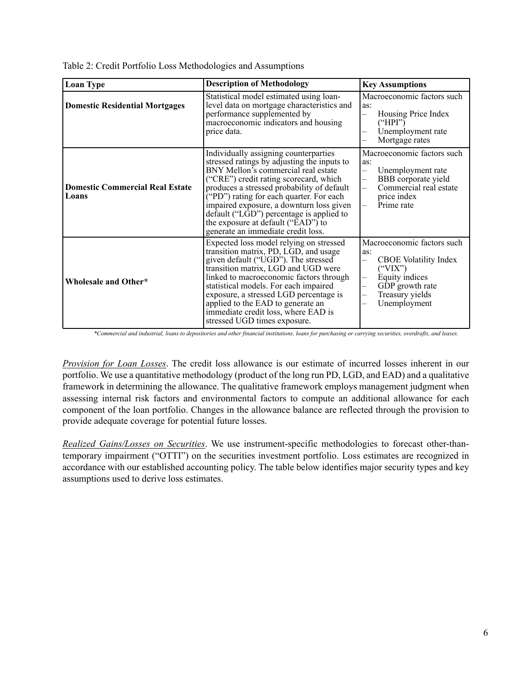|  | Table 2: Credit Portfolio Loss Methodologies and Assumptions |  |  |  |
|--|--------------------------------------------------------------|--|--|--|
|--|--------------------------------------------------------------|--|--|--|

| <b>Loan Type</b>                                | <b>Description of Methodology</b><br><b>Key Assumptions</b>                                                                                                                                                                                                                                                                                                                                                                               |                                                                                                                                                                                              |
|-------------------------------------------------|-------------------------------------------------------------------------------------------------------------------------------------------------------------------------------------------------------------------------------------------------------------------------------------------------------------------------------------------------------------------------------------------------------------------------------------------|----------------------------------------------------------------------------------------------------------------------------------------------------------------------------------------------|
| <b>Domestic Residential Mortgages</b>           | Statistical model estimated using loan-<br>level data on mortgage characteristics and<br>performance supplemented by<br>macroeconomic indicators and housing<br>price data.                                                                                                                                                                                                                                                               | Macroeconomic factors such<br>as:<br>Housing Price Index<br>("HPI")<br>Unemployment rate<br>Mortgage rates                                                                                   |
| <b>Domestic Commercial Real Estate</b><br>Loans | Individually assigning counterparties<br>stressed ratings by adjusting the inputs to<br>BNY Mellon's commercial real estate<br>("CRE") credit rating scorecard, which<br>produces a stressed probability of default<br>("PD") rating for each quarter. For each<br>impaired exposure, a downturn loss given<br>$default$ ("L $GD$ ") percentage is applied to<br>the exposure at default ("EAD") to<br>generate an immediate credit loss. | Macroeconomic factors such<br>as:<br>Unemployment rate<br>$\overline{\phantom{0}}$<br>BBB corporate yield<br>Commercial real estate<br>price index<br>Prime rate<br>$\overline{\phantom{0}}$ |
| Wholesale and Other*                            | Expected loss model relying on stressed<br>transition matrix, PD, LGD, and usage<br>given default ("UGD"). The stressed<br>transition matrix, LGD and UGD were<br>linked to macroeconomic factors through<br>statistical models. For each impaired<br>exposure, a stressed LGD percentage is<br>applied to the EAD to generate an<br>immediate credit loss, where EAD is<br>stressed UGD times exposure.                                  | Macroeconomic factors such<br>as:<br>CBOE Volatility Index<br>$\overline{\phantom{0}}$<br>("VIX")<br>Equity indices<br>GDP growth rate<br>—<br>Treasury yields<br>Unemployment               |

*\*Commercial and industrial, loans to depositories and other financial institutions, loans for purchasing or carrying securities, overdrafts, and leases.* 

*Provision for Loan Losses*. The credit loss allowance is our estimate of incurred losses inherent in our portfolio. We use a quantitative methodology (product of the long run PD, LGD, and EAD) and a qualitative framework in determining the allowance. The qualitative framework employs management judgment when assessing internal risk factors and environmental factors to compute an additional allowance for each component of the loan portfolio. Changes in the allowance balance are reflected through the provision to provide adequate coverage for potential future losses.

*Realized Gains/Losses on Securities*. We use instrument-specific methodologies to forecast other-thantemporary impairment ("OTTI") on the securities investment portfolio. Loss estimates are recognized in accordance with our established accounting policy. The table below identifies major security types and key assumptions used to derive loss estimates.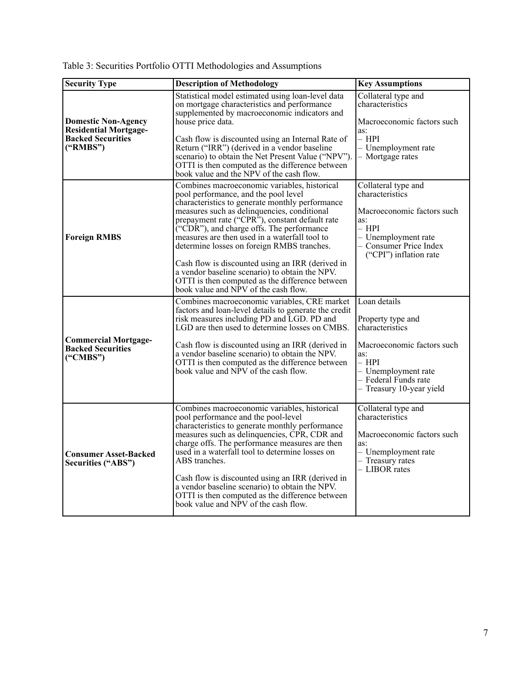| <b>Security Type</b>                                                                   | <b>Description of Methodology</b>                                                                                                                                                                                                                                                                            | <b>Key Assumptions</b>                                                                                                                  |
|----------------------------------------------------------------------------------------|--------------------------------------------------------------------------------------------------------------------------------------------------------------------------------------------------------------------------------------------------------------------------------------------------------------|-----------------------------------------------------------------------------------------------------------------------------------------|
| <b>Domestic Non-Agency</b><br><b>Residential Mortgage-</b><br><b>Backed Securities</b> | Statistical model estimated using loan-level data<br>on mortgage characteristics and performance<br>supplemented by macroeconomic indicators and<br>house price data.<br>Cash flow is discounted using an Internal Rate of                                                                                   | Collateral type and<br>characteristics<br>Macroeconomic factors such<br>as:<br>– HPI                                                    |
| ("RMBS")                                                                               | Return ("IRR") (derived in a vendor baseline<br>scenario) to obtain the Net Present Value ("NPV").<br>OTTI is then computed as the difference between<br>book value and the NPV of the cash flow.                                                                                                            | - Unemployment rate<br>- Mortgage rates                                                                                                 |
|                                                                                        | Combines macroeconomic variables, historical<br>pool performance, and the pool level<br>characteristics to generate monthly performance                                                                                                                                                                      | Collateral type and<br>characteristics                                                                                                  |
| <b>Foreign RMBS</b>                                                                    | measures such as delinquencies, conditional<br>prepayment rate ("CPR"), constant default rate<br>("CDR"), and charge offs. The performance<br>measures are then used in a waterfall tool to<br>determine losses on foreign RMBS tranches.                                                                    | Macroeconomic factors such<br>as:<br>– HPI<br>$-$ Unemployment rate<br>- Consumer Price Index<br>("CPI") inflation rate                 |
|                                                                                        | Cash flow is discounted using an IRR (derived in<br>a vendor baseline scenario) to obtain the NPV.<br>OTTI is then computed as the difference between<br>book value and NPV of the cash flow.                                                                                                                |                                                                                                                                         |
|                                                                                        | Combines macroeconomic variables, CRE market<br>factors and loan-level details to generate the credit<br>risk measures including PD and LGD. PD and<br>LGD are then used to determine losses on CMBS.                                                                                                        | Loan details<br>Property type and<br>characteristics                                                                                    |
| <b>Commercial Mortgage-</b><br><b>Backed Securities</b><br>$(^{\circ}CMBS")$           | Cash flow is discounted using an IRR (derived in<br>a vendor baseline scenario) to obtain the NPV.<br>OTTI is then computed as the difference between<br>book value and NPV of the cash flow.                                                                                                                | Macroeconomic factors such<br>as:<br>– HPI<br>- Unemployment rate<br>- Federal Funds rate<br>- Treasury 10-year yield                   |
| <b>Consumer Asset-Backed</b><br><b>Securities ("ABS")</b>                              | Combines macroeconomic variables, historical<br>pool performance and the pool-level<br>characteristics to generate monthly performance<br>measures such as delinquencies, CPR, CDR and<br>charge offs. The performance measures are then<br>used in a waterfall tool to determine losses on<br>ABS tranches. | Collateral type and<br>characteristics<br>Macroeconomic factors such<br>as:<br>- Unemployment rate<br>- Treasury rates<br>- LIBOR rates |
|                                                                                        | Cash flow is discounted using an IRR (derived in<br>a vendor baseline scenario) to obtain the NPV.<br>OTTI is then computed as the difference between<br>book value and NPV of the cash flow.                                                                                                                |                                                                                                                                         |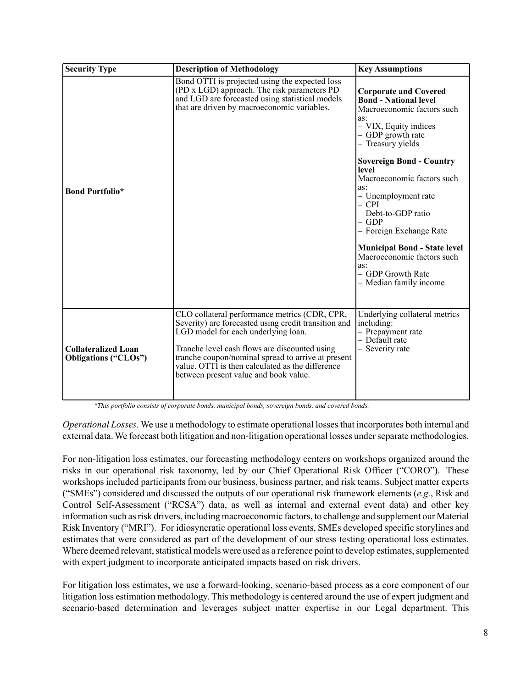| <b>Security Type</b>                                      | <b>Description of Methodology</b>                                                                                                                                                                                                                                                                                                                | <b>Key Assumptions</b>                                                                                                                                                                                                                                                                                                                                                                                                                                                          |
|-----------------------------------------------------------|--------------------------------------------------------------------------------------------------------------------------------------------------------------------------------------------------------------------------------------------------------------------------------------------------------------------------------------------------|---------------------------------------------------------------------------------------------------------------------------------------------------------------------------------------------------------------------------------------------------------------------------------------------------------------------------------------------------------------------------------------------------------------------------------------------------------------------------------|
| <b>Bond Portfolio*</b>                                    | Bond OTTI is projected using the expected loss<br>(PD x LGD) approach. The risk parameters PD<br>and LGD are forecasted using statistical models<br>that are driven by macroeconomic variables.                                                                                                                                                  | <b>Corporate and Covered</b><br><b>Bond - National level</b><br>Macroeconomic factors such<br>as:<br>- VIX, Equity indices<br>- GDP growth rate<br>- Treasury yields<br><b>Sovereign Bond - Country</b><br>level<br>Macroeconomic factors such<br>as:<br>- Unemployment rate<br>$-$ CPI<br>- Debt-to-GDP ratio<br>$-$ GDP<br>- Foreign Exchange Rate<br><b>Municipal Bond - State level</b><br>Macroeconomic factors such<br>as:<br>- GDP Growth Rate<br>- Median family income |
| <b>Collateralized Loan</b><br><b>Obligations ("CLOs")</b> | CLO collateral performance metrics (CDR, CPR,<br>Severity) are forecasted using credit transition and<br>LGD model for each underlying loan.<br>Tranche level cash flows are discounted using<br>tranche coupon/nominal spread to arrive at present<br>value. OTTI is then calculated as the difference<br>between present value and book value. | Underlying collateral metrics<br>including:<br>- Prepayment rate<br>- Default rate<br>- Severity rate                                                                                                                                                                                                                                                                                                                                                                           |

*\*This portfolio consists of corporate bonds, municipal bonds, sovereign bonds, and covered bonds.* 

*Operational Losses*. We use a methodology to estimate operational losses that incorporates both internal and external data. We forecast both litigation and non-litigation operational losses under separate methodologies.

For non-litigation loss estimates, our forecasting methodology centers on workshops organized around the risks in our operational risk taxonomy, led by our Chief Operational Risk Officer ("CORO"). These workshops included participants from our business, business partner, and risk teams. Subject matter experts ("SMEs") considered and discussed the outputs of our operational risk framework elements (*e.g.*, Risk and Control Self-Assessment ("RCSA") data, as well as internal and external event data) and other key information such as risk drivers, including macroeconomic factors, to challenge and supplement our Material Risk Inventory ("MRI"). For idiosyncratic operational loss events, SMEs developed specific storylines and estimates that were considered as part of the development of our stress testing operational loss estimates. Where deemed relevant, statistical models were used as a reference point to develop estimates, supplemented with expert judgment to incorporate anticipated impacts based on risk drivers.

For litigation loss estimates, we use a forward-looking, scenario-based process as a core component of our litigation loss estimation methodology. This methodology is centered around the use of expert judgment and scenario-based determination and leverages subject matter expertise in our Legal department. This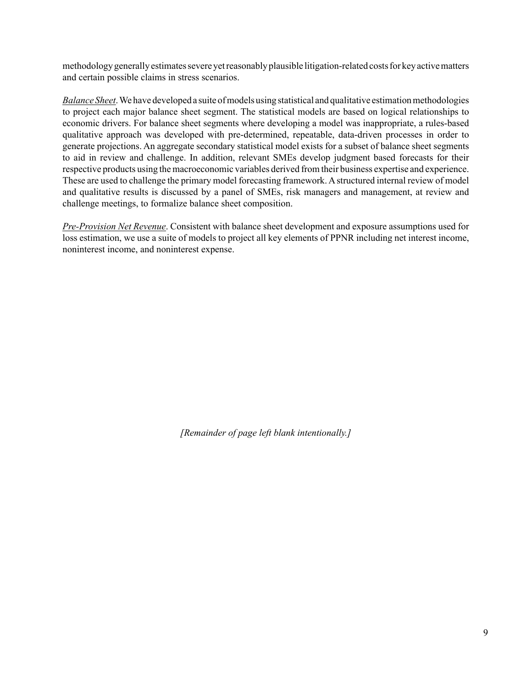methodology generally estimates severe yet reasonably plausible litigation-related costs for key active matters and certain possible claims in stress scenarios.

*Balance Sheet*. We have developed a suite of models using statistical and qualitative estimation methodologies to project each major balance sheet segment. The statistical models are based on logical relationships to economic drivers. For balance sheet segments where developing a model was inappropriate, a rules-based qualitative approach was developed with pre-determined, repeatable, data-driven processes in order to generate projections. An aggregate secondary statistical model exists for a subset of balance sheet segments to aid in review and challenge. In addition, relevant SMEs develop judgment based forecasts for their respective products using the macroeconomic variables derived from their business expertise and experience. These are used to challenge the primary model forecasting framework. A structured internal review of model and qualitative results is discussed by a panel of SMEs, risk managers and management, at review and challenge meetings, to formalize balance sheet composition.

*Pre-Provision Net Revenue*. Consistent with balance sheet development and exposure assumptions used for loss estimation, we use a suite of models to project all key elements of PPNR including net interest income, noninterest income, and noninterest expense.

*[Remainder of page left blank intentionally.]*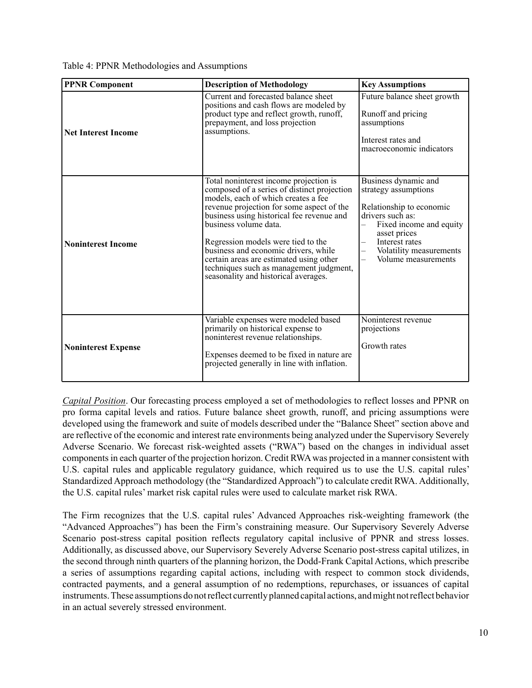Table 4: PPNR Methodologies and Assumptions

| <b>PPNR Component</b>      | <b>Description of Methodology</b>                                                                                                                                                                                                                                                                                                                                                                                                                           | <b>Key Assumptions</b>                                                                                                                                                                                      |
|----------------------------|-------------------------------------------------------------------------------------------------------------------------------------------------------------------------------------------------------------------------------------------------------------------------------------------------------------------------------------------------------------------------------------------------------------------------------------------------------------|-------------------------------------------------------------------------------------------------------------------------------------------------------------------------------------------------------------|
| <b>Net Interest Income</b> | Current and forecasted balance sheet<br>positions and cash flows are modeled by<br>product type and reflect growth, runoff,<br>prepayment, and loss projection<br>assumptions.                                                                                                                                                                                                                                                                              | Future balance sheet growth<br>Runoff and pricing<br>assumptions<br>Interest rates and<br>macroeconomic indicators                                                                                          |
| <b>Noninterest Income</b>  | Total noninterest income projection is<br>composed of a series of distinct projection<br>models, each of which creates a fee<br>revenue projection for some aspect of the<br>business using historical fee revenue and<br>business volume data.<br>Regression models were tied to the<br>business and economic drivers, while<br>certain areas are estimated using other<br>techniques such as management judgment,<br>seasonality and historical averages. | Business dynamic and<br>strategy assumptions<br>Relationship to economic<br>drivers such as:<br>Fixed income and equity<br>asset prices<br>Interest rates<br>Volatility measurements<br>Volume measurements |
| <b>Noninterest Expense</b> | Variable expenses were modeled based<br>primarily on historical expense to<br>noninterest revenue relationships.<br>Expenses deemed to be fixed in nature are<br>projected generally in line with inflation.                                                                                                                                                                                                                                                | Noninterest revenue<br>projections<br>Growth rates                                                                                                                                                          |

*Capital Position*. Our forecasting process employed a set of methodologies to reflect losses and PPNR on pro forma capital levels and ratios. Future balance sheet growth, runoff, and pricing assumptions were developed using the framework and suite of models described under the "Balance Sheet" section above and are reflective of the economic and interest rate environments being analyzed under the Supervisory Severely Adverse Scenario. We forecast risk-weighted assets ("RWA") based on the changes in individual asset components in each quarter of the projection horizon. Credit RWA was projected in a manner consistent with U.S. capital rules and applicable regulatory guidance, which required us to use the U.S. capital rules' Standardized Approach methodology (the "Standardized Approach") to calculate credit RWA. Additionally, the U.S. capital rules' market risk capital rules were used to calculate market risk RWA.

The Firm recognizes that the U.S. capital rules' Advanced Approaches risk-weighting framework (the "Advanced Approaches") has been the Firm's constraining measure. Our Supervisory Severely Adverse Scenario post-stress capital position reflects regulatory capital inclusive of PPNR and stress losses. Additionally, as discussed above, our Supervisory Severely Adverse Scenario post-stress capital utilizes, in the second through ninth quarters of the planning horizon, the Dodd-Frank Capital Actions, which prescribe a series of assumptions regarding capital actions, including with respect to common stock dividends, contracted payments, and a general assumption of no redemptions, repurchases, or issuances of capital instruments. These assumptions do not reflect currently planned capital actions, and might not reflect behavior in an actual severely stressed environment.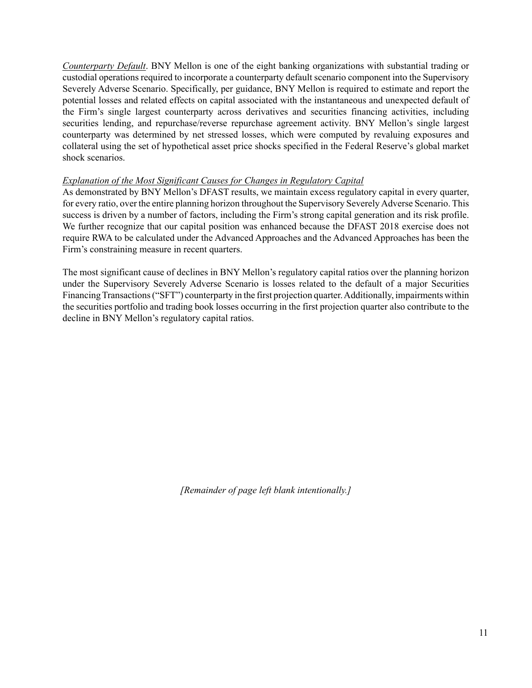*Counterparty Default*. BNY Mellon is one of the eight banking organizations with substantial trading or custodial operations required to incorporate a counterparty default scenario component into the Supervisory Severely Adverse Scenario. Specifically, per guidance, BNY Mellon is required to estimate and report the potential losses and related effects on capital associated with the instantaneous and unexpected default of the Firm's single largest counterparty across derivatives and securities financing activities, including securities lending, and repurchase/reverse repurchase agreement activity. BNY Mellon's single largest counterparty was determined by net stressed losses, which were computed by revaluing exposures and collateral using the set of hypothetical asset price shocks specified in the Federal Reserve's global market shock scenarios.

### *Explanation of the Most Significant Causes for Changes in Regulatory Capital*

As demonstrated by BNY Mellon's DFAST results, we maintain excess regulatory capital in every quarter, for every ratio, over the entire planning horizon throughout the Supervisory Severely Adverse Scenario. This success is driven by a number of factors, including the Firm's strong capital generation and its risk profile. We further recognize that our capital position was enhanced because the DFAST 2018 exercise does not require RWA to be calculated under the Advanced Approaches and the Advanced Approaches has been the Firm's constraining measure in recent quarters.

The most significant cause of declines in BNY Mellon's regulatory capital ratios over the planning horizon under the Supervisory Severely Adverse Scenario is losses related to the default of a major Securities Financing Transactions ("SFT") counterparty in the first projection quarter. Additionally, impairments within the securities portfolio and trading book losses occurring in the first projection quarter also contribute to the decline in BNY Mellon's regulatory capital ratios.

*[Remainder of page left blank intentionally.]*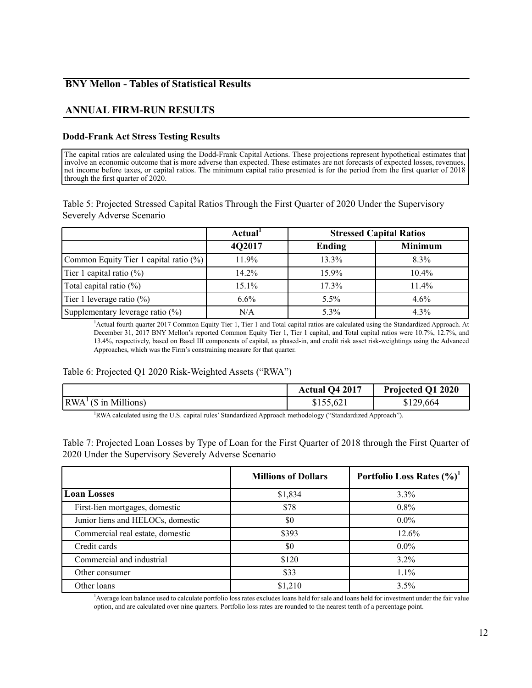# **BNY Mellon - Tables of Statistical Results**

# **ANNUAL FIRM-RUN RESULTS**

### **Dodd-Frank Act Stress Testing Results**

The capital ratios are calculated using the Dodd-Frank Capital Actions. These projections represent hypothetical estimates that involve an economic outcome that is more adverse than expected. These estimates are not forecasts of expected losses, revenues, net income before taxes, or capital ratios. The minimum capital ratio presented is for the period from the first quarter of 2018 through the first quarter of 2020.

Table 5: Projected Stressed Capital Ratios Through the First Quarter of 2020 Under the Supervisory Severely Adverse Scenario

|                                        | Actual <sup>1</sup> | <b>Stressed Capital Ratios</b> |                |
|----------------------------------------|---------------------|--------------------------------|----------------|
|                                        | 4Q2017              | Ending                         | <b>Minimum</b> |
| Common Equity Tier 1 capital ratio (%) | 11.9%               | 13.3%                          | 8.3%           |
| Tier 1 capital ratio $(\%)$            | 14.2%               | 15.9%                          | 10.4%          |
| Total capital ratio $(\%)$             | 15.1%               | 17.3%                          | 11.4%          |
| Tier 1 leverage ratio $(\%)$           | $6.6\%$             | $5.5\%$                        | $4.6\%$        |
| Supplementary leverage ratio (%)       | N/A                 | 5.3%                           | 4.3%           |

<sup>1</sup>Actual fourth quarter 2017 Common Equity Tier 1, Tier 1 and Total capital ratios are calculated using the Standardized Approach. At December 31, 2017 BNY Mellon's reported Common Equity Tier 1, Tier 1 capital, and Total capital ratios were 10.7%, 12.7%, and 13.4%, respectively, based on Basel III components of capital, as phased-in, and credit risk asset risk-weightings using the Advanced Approaches, which was the Firm's constraining measure for that quarter.

#### Table 6: Projected Q1 2020 Risk-Weighted Assets ("RWA")

|                                                                                                            | Actual Q4 2017 | Projected Q1 2020 |
|------------------------------------------------------------------------------------------------------------|----------------|-------------------|
| $\vert RWA^{\perp}(\$$ in Millions)                                                                        | \$155,621      | \$129,664         |
| "RWA calculated using the U.S. capital rules' Standardized Approach methodology ("Standardized Approach"). |                |                   |

Table 7: Projected Loan Losses by Type of Loan for the First Quarter of 2018 through the First Quarter of 2020 Under the Supervisory Severely Adverse Scenario

|                                   | <b>Millions of Dollars</b> | Portfolio Loss Rates $(\%)^1$ |
|-----------------------------------|----------------------------|-------------------------------|
| <b>Loan Losses</b>                | \$1,834                    | $3.3\%$                       |
| First-lien mortgages, domestic    | \$78                       | $0.8\%$                       |
| Junior liens and HELOCs, domestic | \$0                        | $0.0\%$                       |
| Commercial real estate, domestic  | \$393                      | 12.6%                         |
| Credit cards                      | \$0                        | $0.0\%$                       |
| Commercial and industrial         | \$120                      | 3.2%                          |
| Other consumer                    | \$33                       | $1.1\%$                       |
| Other loans                       | \$1,210                    | 3.5%                          |

1 Average loan balance used to calculate portfolio loss rates excludes loans held for sale and loans held for investment under the fair value option, and are calculated over nine quarters. Portfolio loss rates are rounded to the nearest tenth of a percentage point.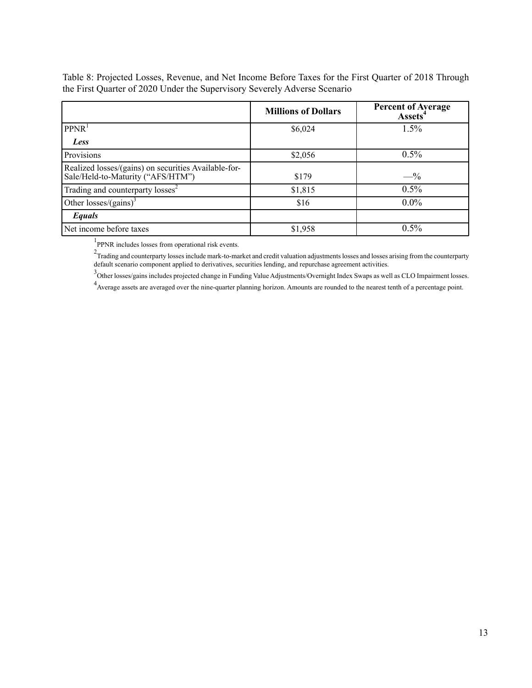Table 8: Projected Losses, Revenue, and Net Income Before Taxes for the First Quarter of 2018 Through the First Quarter of 2020 Under the Supervisory Severely Adverse Scenario

|                                                                                           | <b>Millions of Dollars</b> | <b>Percent of Average</b><br><b>Assets</b> |
|-------------------------------------------------------------------------------------------|----------------------------|--------------------------------------------|
| PPNR <sup>1</sup>                                                                         | \$6,024                    | 1.5%                                       |
| Less                                                                                      |                            |                                            |
| Provisions                                                                                | \$2,056                    | $0.5\%$                                    |
| Realized losses/(gains) on securities Available-for-<br>Sale/Held-to-Maturity ("AFS/HTM") | \$179                      | $- \frac{9}{6}$                            |
| Trading and counterparty losses <sup>2</sup>                                              | \$1,815                    | $0.5\%$                                    |
| Other losses/(gains) <sup>3</sup>                                                         | \$16                       | $0.0\%$                                    |
| Equals                                                                                    |                            |                                            |
| Net income before taxes                                                                   | \$1,958                    | 0.5%                                       |

<sup>1</sup>PPNR includes losses from operational risk events.

 $2$ Trading and counterparty losses include mark-to-market and credit valuation adjustments losses and losses arising from the counterparty default scenario component applied to derivatives, securities lending, and repurchase agreement activities.

<sup>3</sup>Other losses/gains includes projected change in Funding Value Adjustments/Overnight Index Swaps as well as CLO Impairment losses.

<sup>4</sup> Average assets are averaged over the nine-quarter planning horizon. Amounts are rounded to the nearest tenth of a percentage point.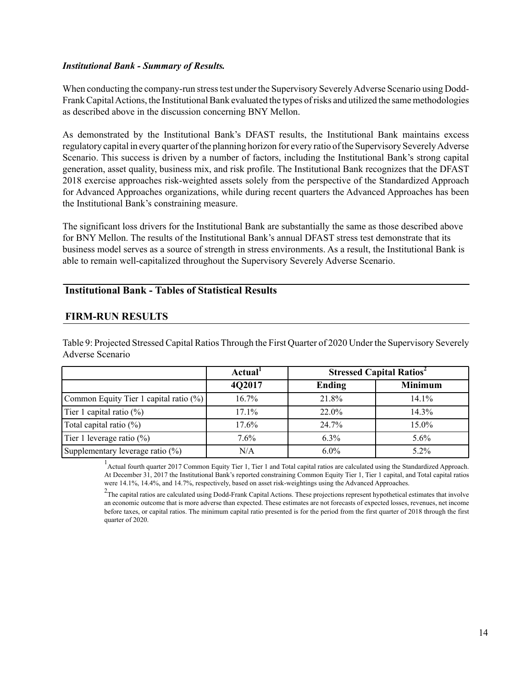### *Institutional Bank - Summary of Results.*

 as described above in the discussion concerning BNY Mellon. When conducting the company-run stress test under the Supervisory Severely Adverse Scenario using Dodd-Frank Capital Actions, the Institutional Bank evaluated the types of risks and utilized the same methodologies

As demonstrated by the Institutional Bank's DFAST results, the Institutional Bank maintains excess regulatory capital in every quarter of the planning horizon for every ratio of the Supervisory Severely Adverse Scenario. This success is driven by a number of factors, including the Institutional Bank's strong capital generation, asset quality, business mix, and risk profile. The Institutional Bank recognizes that the DFAST 2018 exercise approaches risk-weighted assets solely from the perspective of the Standardized Approach for Advanced Approaches organizations, while during recent quarters the Advanced Approaches has been the Institutional Bank's constraining measure.

The significant loss drivers for the Institutional Bank are substantially the same as those described above for BNY Mellon. The results of the Institutional Bank's annual DFAST stress test demonstrate that its business model serves as a source of strength in stress environments. As a result, the Institutional Bank is able to remain well-capitalized throughout the Supervisory Severely Adverse Scenario.

### **Institutional Bank - Tables of Statistical Results**

## **FIRM-RUN RESULTS**

Table 9: Projected Stressed Capital Ratios Through the First Quarter of 2020 Under the Supervisory Severely Adverse Scenario **Actual<sup>1</sup> Stressed Capital Ratios<sup>2</sup>** 

|                                        | Actual <sup>1</sup> | <b>Stressed Capital Ratios</b> |                |
|----------------------------------------|---------------------|--------------------------------|----------------|
|                                        | 4Q2017              | Ending                         | <b>Minimum</b> |
| Common Equity Tier 1 capital ratio (%) | $16.7\%$            | 21.8%                          | $14.1\%$       |
| Tier 1 capital ratio $(\%)$            | 17.1%               | 22.0%                          | 14.3%          |
| Total capital ratio $(\%)$             | 17.6%               | 24.7%                          | 15.0%          |
| Tier 1 leverage ratio $(\%)$           | 7.6%                | $6.3\%$                        | $5.6\%$        |
| Supplementary leverage ratio (%)       | N/A                 | $6.0\%$                        | $5.2\%$        |

<sup>1</sup> Actual fourth quarter 2017 Common Equity Tier 1, Tier 1 and Total capital ratios are calculated using the Standardized Approach. At December 31, 2017 the Institutional Bank's reported constraining Common Equity Tier 1, Tier 1 capital, and Total capital ratios were 14.1%, 14.4%, and 14.7%, respectively, based on asset risk-weightings using the Advanced Approaches.

 $2$ The capital ratios are calculated using Dodd-Frank Capital Actions. These projections represent hypothetical estimates that involve an economic outcome that is more adverse than expected. These estimates are not forecasts of expected losses, revenues, net income before taxes, or capital ratios. The minimum capital ratio presented is for the period from the first quarter of 2018 through the first quarter of 2020.